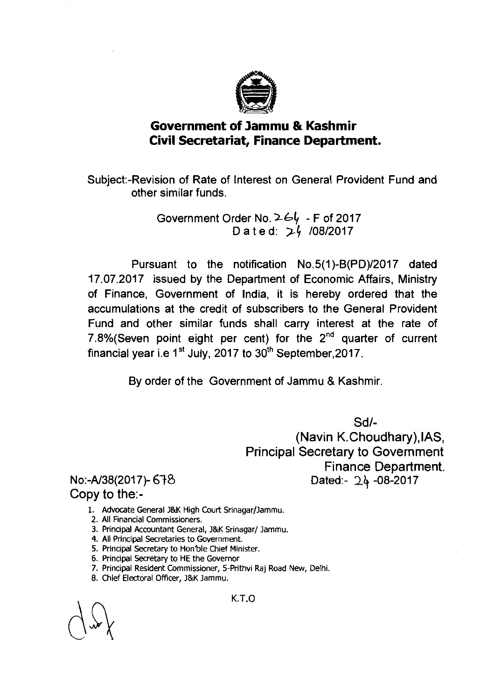

## **Government of Jarnrnu** & **Kashrnir Civil Secretariat, Finance Department.**

Subject:-Revision of Rate of Interest on General Provident Fund and other similar funds.

> Government Order No. **564** - F of 2017 D a t e d: 24 /08/2017

Pursuant to the notification No.5(1)-B(PD)/2017 dated 17.07.2017 issued by the Department of Economic Affairs, Ministry of Finance, Government of India, it is hereby ordered that the accumulations at the credit of subscribers to the General Provident Fund and other similar funds shall carry interest at the rate of 7.8%(Seven point eight per cent) for the  $2<sup>nd</sup>$  quarter of current financial year i.e  $1^{st}$  July, 2017 to  $30^{th}$  September, 2017.

By order of the Government of Jammu & Kashmir.

Sdl-

(Navin K.Choudhary),lAS, Principal Secretary to Government Finance Department. Dated:- *26* -08-2017

## No:-A/38(2017)- 678 Copy to the:-

- 1. Advocate General I&K High Court Srinagar/lammu.
- **2.** All Financial Commissioners.
- 3. Principal Accountant General, J&K Srinagar/ Jammu.
- **4.** All Principal Secretaries to Government.
- **5.** Principal Secretary to Hon'ble Chief Minister.
- **6.** Principal Secretary to HE the Governor
- **7.** Principal Resident Commissioner, 5-Prithvi Raj Road New, Delhi.
- **8.** Chief Electoral Officer, l&K lammu.

K.T.O